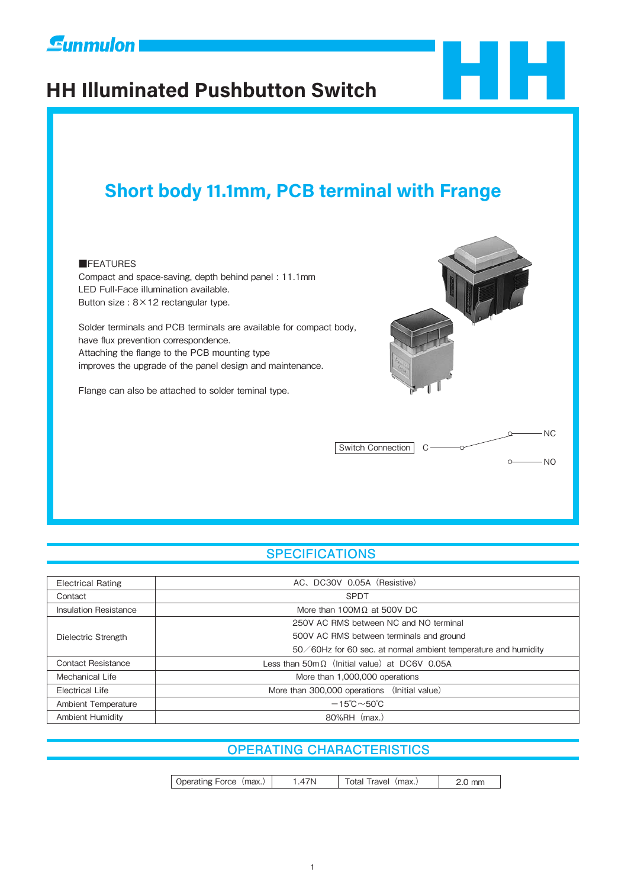

# **Eunmulon**<br> **HH Illuminated Pushbutton Switch**



## **Short body 11.1mm, PCB terminal with Frange**

#### **EFFATURES**

Compact and space-saving, depth behind panel : 11.1mm LED Full-Face illumination available. Button size : 8×12 rectangular type.

Solder terminals and PCB terminals are available for compact body, have flux prevention correspondence. Attaching the flange to the PCB mounting type improves the upgrade of the panel design and maintenance.

Flange can also be attached to solder teminal type.



#### **SPECIFICATIONS**

| <b>Electrical Rating</b>     | AC, DC30V 0.05A (Resistive)                                    |  |  |  |  |
|------------------------------|----------------------------------------------------------------|--|--|--|--|
| Contact                      | <b>SPDT</b>                                                    |  |  |  |  |
| <b>Insulation Resistance</b> | More than 100M $\Omega$ at 500V DC                             |  |  |  |  |
|                              | 250V AC RMS between NC and NO terminal                         |  |  |  |  |
| Dielectric Strength          | 500V AC RMS between terminals and ground                       |  |  |  |  |
|                              | 50/60Hz for 60 sec. at normal ambient temperature and humidity |  |  |  |  |
| Contact Resistance           | Less than $50\text{m}\Omega$ (Initial value) at DC6V 0.05A     |  |  |  |  |
| Mechanical Life              | More than 1,000,000 operations                                 |  |  |  |  |
| <b>Electrical Life</b>       | More than 300,000 operations (Initial value)                   |  |  |  |  |
| Ambient Temperature          | $-15^{\circ}$ C $\sim$ 50 $^{\circ}$ C                         |  |  |  |  |
| <b>Ambient Humidity</b>      | 80%RH (max.)                                                   |  |  |  |  |

#### **OPERATING CHARACTERISTICS**

| Operating Force (max.) | .47N | Total Travel (max.) | 2.0 mm |
|------------------------|------|---------------------|--------|
|------------------------|------|---------------------|--------|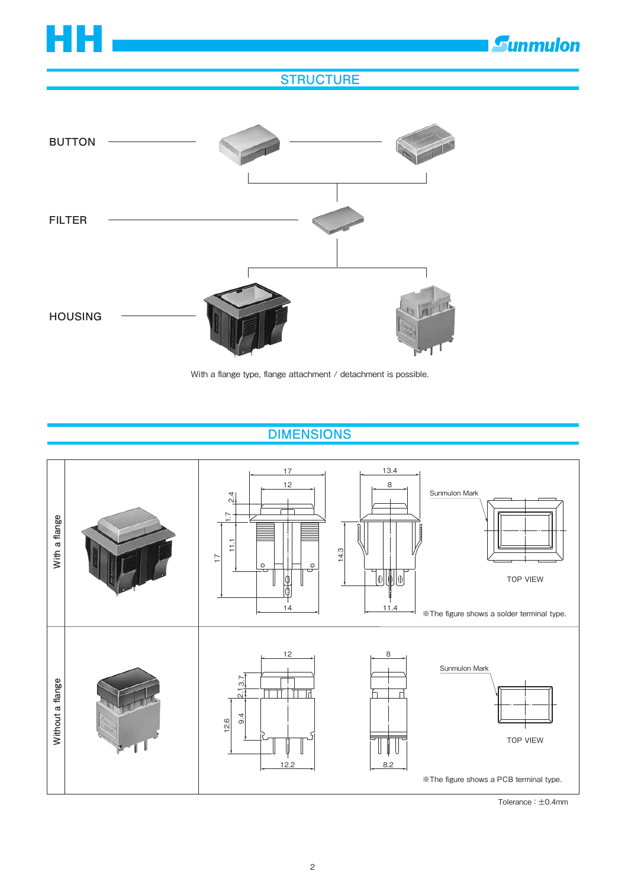

*<u>Eunmulon</u>* 

## **STRUCTURE**



With a flange type, flange attachment / detachment is possible.

## **DIMENSIONS**



Tolerance : ±0.4mm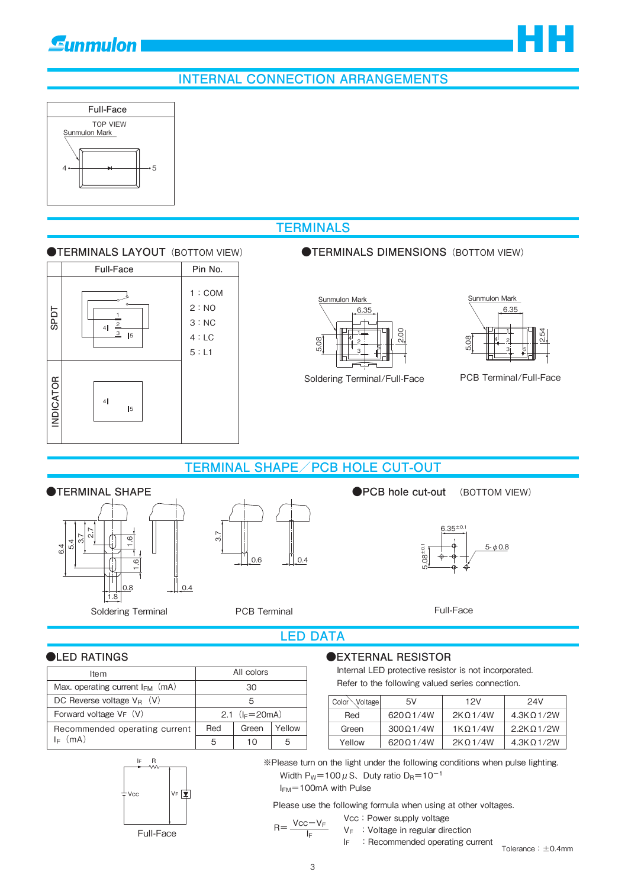## **INTERNAL CONNECTION ARRANGEMENTS**



**Gunmulon** 

## **TERMINALS**





#### *OTERMINALS DIMENSIONS (BOTTOM VIEW)*



Soldering Terminal/Full-Face



HH

PCB Terminal/Full-Face

#### **TERMINAL SHAPE/PCB HOLE CUT-OUT**



3.7 0.6 0.4 (BOTTOM VIEW)



Full-Face

#### **LED DATA**

| ltem                                 | All colors         |       |        |
|--------------------------------------|--------------------|-------|--------|
| Max. operating current $I_{FM}$ (mA) | 30                 |       |        |
| DC Reverse voltage $V_B$ (V)<br>5    |                    |       |        |
| Forward voltage $VF (V)$             | 2.1 $(I_F = 20mA)$ |       |        |
| Recommended operating current        | Red                | Green | Yellow |
| (mA)<br>lc.                          |                    | 10    |        |

## R  $VF\n{\equiv}$ IF Vcc

Full-Face

#### ●LED RATINGS ●EXTERNAL RESISTOR

Internal LED protective resistor is not incorporated. Refer to the following valued series connection.

| Color <sup>6</sup><br><b>Noltage</b> | 5V       | 12V                  | 24V               |
|--------------------------------------|----------|----------------------|-------------------|
| Red                                  | 62001/4W | 2K 0 1/4W            | $4.3K\Omega$ 1/2W |
| Green                                | 30001/4W | 1K <sub>O</sub> 1/4W | 2.2K 0.1/2W       |
| Yellow                               | 62001/4W | 2K 0 1/4W            | 4.3K 0 1/2W       |

※Please turn on the light under the following conditions when pulse lighting. Width  $P_W$ =100  $\mu$  S, Duty ratio D<sub>R</sub>=10<sup>-1</sup>

IFM=100mA with Pulse

Please use the following formula when using at other voltages.

Vcc: Power supply voltage

$$
V_F
$$
: Voltage in regular direction

IF :Recommended operating current

Tolerance:±0.4mm

 $R = \frac{Vcc - V_F}{V}$  $I_F$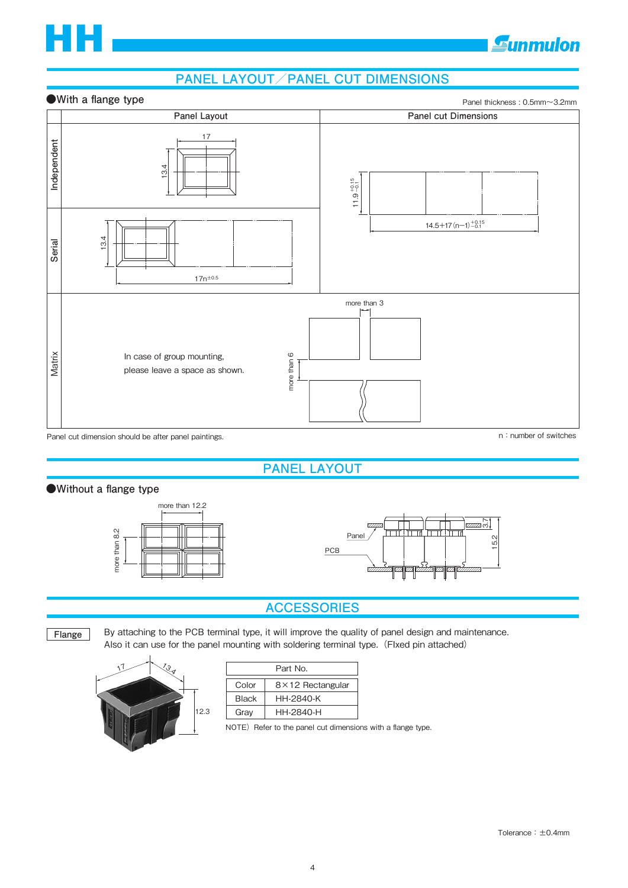

## **Gunmulon**

### **PANEL LAYOUT/PANEL CUT DIMENSIONS**

#### **●With a flange type**





Panel cut dimension should be after panel paintings.

**PANEL LAYOUT**

#### **●Without a flange type**





#### **ACCESSORIES**

**Flange**

By attaching to the PCB terminal type, it will improve the quality of panel design and maintenance. Also it can use for the panel mounting with soldering terminal type. (FIxed pin attached)



| Part No.     |                         |  |  |  |
|--------------|-------------------------|--|--|--|
| Color        | $8\times12$ Rectangular |  |  |  |
| <b>Black</b> | HH-2840-K               |  |  |  |
| Gray         | HH-2840-H               |  |  |  |

NOTE) Refer to the panel cut dimensions with a flange type.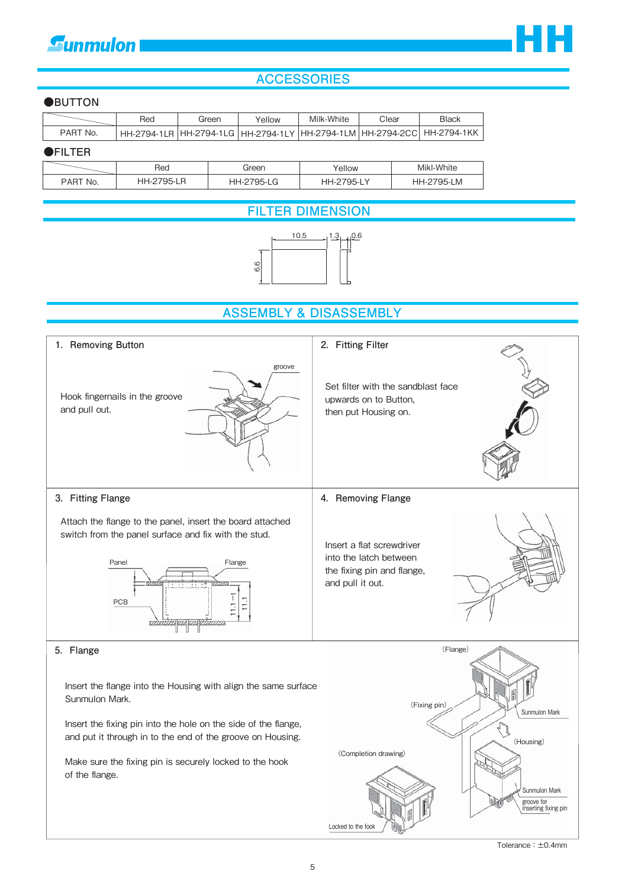## **Gunmulon**



#### **ACCESSORIES**

#### **●BUTTON**

|          | Red | Green | Yellow | Milk-White | Clear | <b>Black</b>                                                                   |
|----------|-----|-------|--------|------------|-------|--------------------------------------------------------------------------------|
| PART No. |     |       |        |            |       | ՝ НН-2794-1LR  НН-2794-1LG  НН-2794-1LY  НН-2794-1LM  НН-2794-2CC  НН-2794-1КК |
|          |     |       |        |            |       |                                                                                |

#### **●FILTER**

|              | Red                      | Green | 'ellow            | Mikl-White     |
|--------------|--------------------------|-------|-------------------|----------------|
| PART<br>`No. | -705.1<br>⊣⊢.<br>- L I I | 95-LG | $795-L$ ,<br>98.Z | 795-LM<br>HH-2 |

#### **FILTER DIMENSION**



#### **ASSEMBLY & DISASSEMBLY**



Tolerance : ±0.4mm